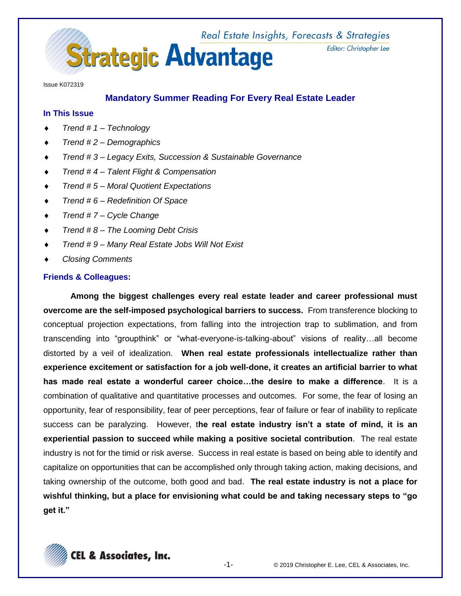

Issue K072319

# **Mandatory Summer Reading For Every Real Estate Leader**

### **In This Issue**

- *Trend # 1 – Technology*
- *Trend # 2 – Demographics*
- *Trend # 3 – Legacy Exits, Succession & Sustainable Governance*
- *Trend # 4 – Talent Flight & Compensation*
- *Trend # 5 – Moral Quotient Expectations*
- *Trend # 6 – Redefinition Of Space*
- *Trend # 7 – Cycle Change*
- *Trend # 8 – The Looming Debt Crisis*
- *Trend # 9 – Many Real Estate Jobs Will Not Exist*
- *Closing Comments*

# **Friends & Colleagues:**

**Among the biggest challenges every real estate leader and career professional must overcome are the self-imposed psychological barriers to success.** From transference blocking to conceptual projection expectations, from falling into the introjection trap to sublimation, and from transcending into "groupthink" or "what-everyone-is-talking-about" visions of reality…all become distorted by a veil of idealization. **When real estate professionals intellectualize rather than experience excitement or satisfaction for a job well-done, it creates an artificial barrier to what has made real estate a wonderful career choice…the desire to make a difference**. It is a combination of qualitative and quantitative processes and outcomes. For some, the fear of losing an opportunity, fear of responsibility, fear of peer perceptions, fear of failure or fear of inability to replicate success can be paralyzing. However, t**he real estate industry isn't a state of mind, it is an experiential passion to succeed while making a positive societal contribution**. The real estate industry is not for the timid or risk averse. Success in real estate is based on being able to identify and capitalize on opportunities that can be accomplished only through taking action, making decisions, and taking ownership of the outcome, both good and bad. **The real estate industry is not a place for wishful thinking, but a place for envisioning what could be and taking necessary steps to "go get it."**

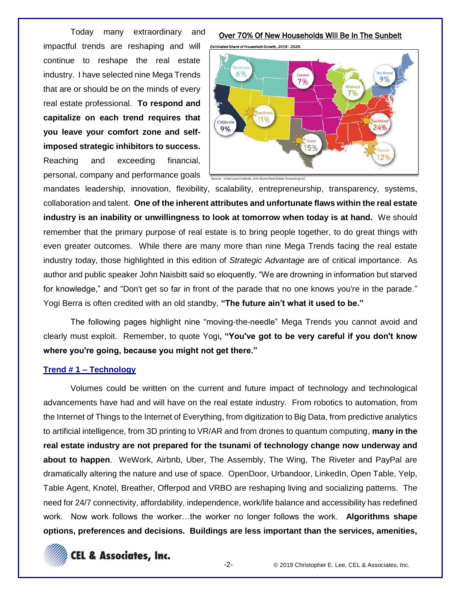Today many extraordinary and impactful trends are reshaping and will continue to reshape the real estate industry. I have selected nine Mega Trends that are or should be on the minds of every real estate professional. **To respond and capitalize on each trend requires that you leave your comfort zone and selfimposed strategic inhibitors to success.** Reaching and exceeding financial, personal, company and performance goals

#### Over 70% Of New Households Will Be In The Sunbelt



mandates leadership, innovation, flexibility, scalability, entrepreneurship, transparency, systems, collaboration and talent. **One of the inherent attributes and unfortunate flaws within the real estate industry is an inability or unwillingness to look at tomorrow when today is at hand.** We should remember that the primary purpose of real estate is to bring people together, to do great things with even greater outcomes. While there are many more than nine Mega Trends facing the real estate industry today, those highlighted in this edition of *Strategic Advantage* are of critical importance. As author and public speaker John Naisbitt said so eloquently, "We are drowning in information but starved for knowledge," and "Don't get so far in front of the parade that no one knows you're in the parade." Yogi Berra is often credited with an old standby, **"The future ain't what it used to be."**

The following pages highlight nine "moving-the-needle" Mega Trends you cannot avoid and clearly must exploit. Remember, to quote Yogi**, "You've got to be very careful if you don't know where you're going, because you might not get there."**

#### **Trend # 1 – Technology**

Volumes could be written on the current and future impact of technology and technological advancements have had and will have on the real estate industry. From robotics to automation, from the Internet of Things to the Internet of Everything, from digitization to Big Data, from predictive analytics to artificial intelligence, from 3D printing to VR/AR and from drones to quantum computing, **many in the real estate industry are not prepared for the tsunami of technology change now underway and about to happen**. WeWork, Airbnb, Uber, The Assembly, The Wing, The Riveter and PayPal are dramatically altering the nature and use of space. OpenDoor, Urbandoor, LinkedIn, Open Table, Yelp, Table Agent, Knotel, Breather, Offerpod and VRBO are reshaping living and socializing patterns. The need for 24/7 connectivity, affordability, independence, work/life balance and accessibility has redefined work. Now work follows the worker…the worker no longer follows the work. **Algorithms shape options, preferences and decisions. Buildings are less important than the services, amenities,** 

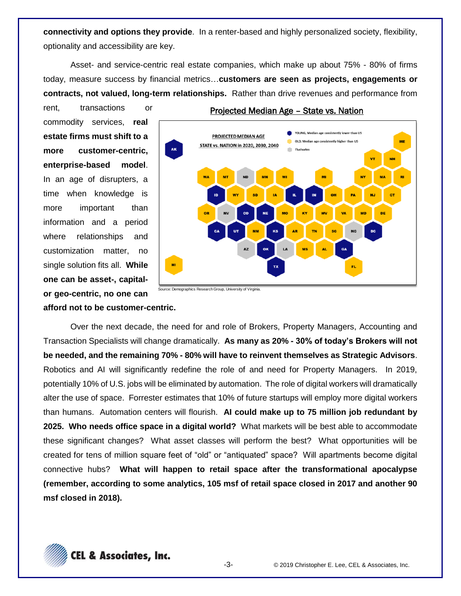**connectivity and options they provide**. In a renter-based and highly personalized society, flexibility, optionality and accessibility are key.

Asset- and service-centric real estate companies, which make up about 75% - 80% of firms today, measure success by financial metrics…**customers are seen as projects, engagements or contracts, not valued, long-term relationships.** Rather than drive revenues and performance from

rent, transactions or commodity services, **real estate firms must shift to a more customer-centric, enterprise-based model**. In an age of disrupters, a time when knowledge is more important than information and a period where relationships and customization matter, no single solution fits all. **While one can be asset-, capitalor geo-centric, no one can** 



## Projected Median Age – State vs. Nation

**afford not to be customer-centric.**

Over the next decade, the need for and role of Brokers, Property Managers, Accounting and Transaction Specialists will change dramatically. **As many as 20% - 30% of today's Brokers will not be needed, and the remaining 70% - 80% will have to reinvent themselves as Strategic Advisors**. Robotics and AI will significantly redefine the role of and need for Property Managers. In 2019, potentially 10% of U.S. jobs will be eliminated by automation. The role of digital workers will dramatically alter the use of space. Forrester estimates that 10% of future startups will employ more digital workers than humans. Automation centers will flourish. **AI could make up to 75 million job redundant by 2025. Who needs office space in a digital world?** What markets will be best able to accommodate these significant changes? What asset classes will perform the best? What opportunities will be created for tens of million square feet of "old" or "antiquated" space? Will apartments become digital connective hubs? **What will happen to retail space after the transformational apocalypse (remember, according to some analytics, 105 msf of retail space closed in 2017 and another 90 msf closed in 2018).**



Source: Demographics Research Group, University of Virginia.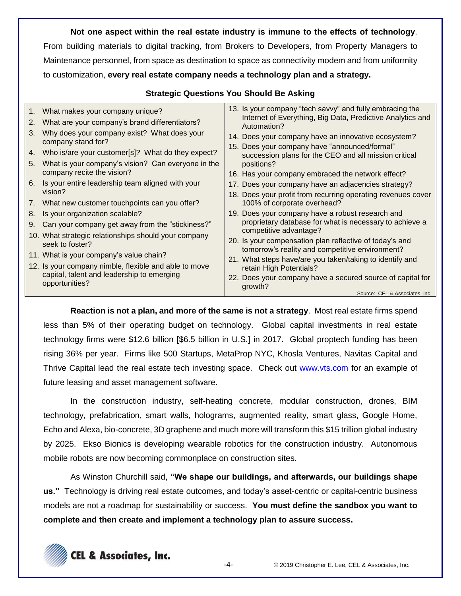**Not one aspect within the real estate industry is immune to the effects of technology**. From building materials to digital tracking, from Brokers to Developers, from Property Managers to Maintenance personnel, from space as destination to space as connectivity modem and from uniformity to customization, **every real estate company needs a technology plan and a strategy.** 

### **Strategic Questions You Should Be Asking**

| 3.<br>4.<br>5.<br>6.<br>7.<br>8.<br>9. | 1. What makes your company unique?<br>2. What are your company's brand differentiators?<br>Why does your company exist? What does your<br>company stand for?<br>Who is/are your customer[s]? What do they expect?<br>What is your company's vision? Can everyone in the<br>company recite the vision?<br>Is your entire leadership team aligned with your<br>vision?<br>What new customer touchpoints can you offer?<br>Is your organization scalable?<br>Can your company get away from the "stickiness?"<br>10. What strategic relationships should your company<br>seek to foster?<br>11. What is your company's value chain?<br>12. Is your company nimble, flexible and able to move | 13. Is your company "tech savvy" and fully embracing the<br>Internet of Everything, Big Data, Predictive Analytics and<br>Automation?<br>14. Does your company have an innovative ecosystem?<br>15. Does your company have "announced/formal"<br>succession plans for the CEO and all mission critical<br>positions?<br>16. Has your company embraced the network effect?<br>17. Does your company have an adjacencies strategy?<br>18. Does your profit from recurring operating revenues cover<br>100% of corporate overhead?<br>19. Does your company have a robust research and<br>proprietary database for what is necessary to achieve a<br>competitive advantage?<br>20. Is your compensation plan reflective of today's and<br>tomorrow's reality and competitive environment?<br>21. What steps have/are you taken/taking to identify and<br>retain High Potentials? |
|----------------------------------------|-------------------------------------------------------------------------------------------------------------------------------------------------------------------------------------------------------------------------------------------------------------------------------------------------------------------------------------------------------------------------------------------------------------------------------------------------------------------------------------------------------------------------------------------------------------------------------------------------------------------------------------------------------------------------------------------|-------------------------------------------------------------------------------------------------------------------------------------------------------------------------------------------------------------------------------------------------------------------------------------------------------------------------------------------------------------------------------------------------------------------------------------------------------------------------------------------------------------------------------------------------------------------------------------------------------------------------------------------------------------------------------------------------------------------------------------------------------------------------------------------------------------------------------------------------------------------------------|
|                                        | capital, talent and leadership to emerging<br>opportunities?                                                                                                                                                                                                                                                                                                                                                                                                                                                                                                                                                                                                                              | 22. Does your company have a secured source of capital for<br>growth?<br>Source: CEL & Associates. Inc.                                                                                                                                                                                                                                                                                                                                                                                                                                                                                                                                                                                                                                                                                                                                                                       |

**Reaction is not a plan, and more of the same is not a strategy**. Most real estate firms spend less than 5% of their operating budget on technology. Global capital investments in real estate technology firms were \$12.6 billion [\$6.5 billion in U.S.] in 2017. Global proptech funding has been rising 36% per year. Firms like 500 Startups, MetaProp NYC, Khosla Ventures, Navitas Capital and Thrive Capital lead the real estate tech investing space. Check out [www.vts.com](http://www.vts.com/) for an example of future leasing and asset management software.

In the construction industry, self-heating concrete, modular construction, drones, BIM technology, prefabrication, smart walls, holograms, augmented reality, smart glass, Google Home, Echo and Alexa, bio-concrete, 3D graphene and much more will transform this \$15 trillion global industry by 2025. Ekso Bionics is developing wearable robotics for the construction industry. Autonomous mobile robots are now becoming commonplace on construction sites.

As Winston Churchill said, **"We shape our buildings, and afterwards, our buildings shape us."** Technology is driving real estate outcomes, and today's asset-centric or capital-centric business models are not a roadmap for sustainability or success. **You must define the sandbox you want to complete and then create and implement a technology plan to assure success.**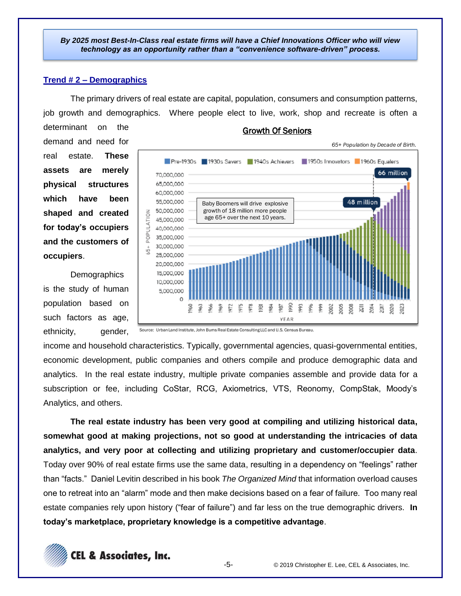*By 2025 most Best-In-Class real estate firms will have a Chief Innovations Officer who will view technology as an opportunity rather than a "convenience software-driven" process.*

#### **Trend # 2 – Demographics**

The primary drivers of real estate are capital, population, consumers and consumption patterns, job growth and demographics. Where people elect to live, work, shop and recreate is often a

determinant on the demand and need for real estate. **These assets are merely physical structures which have been shaped and created for today's occupiers and the customers of occupiers**.

**Demographics** is the study of human population based on such factors as age, ethnicity, gender,



#### Growth Of Seniors

Source: Urban Land Institute, John Burns Real Estate Consulting LLC and U.S. Census Bureau.

income and household characteristics. Typically, governmental agencies, quasi-governmental entities, economic development, public companies and others compile and produce demographic data and analytics. In the real estate industry, multiple private companies assemble and provide data for a subscription or fee, including CoStar, RCG, Axiometrics, VTS, Reonomy, CompStak, Moody's Analytics, and others.

**The real estate industry has been very good at compiling and utilizing historical data, somewhat good at making projections, not so good at understanding the intricacies of data analytics, and very poor at collecting and utilizing proprietary and customer/occupier data**. Today over 90% of real estate firms use the same data, resulting in a dependency on "feelings" rather than "facts." Daniel Levitin described in his book *The Organized Mind* that information overload causes one to retreat into an "alarm" mode and then make decisions based on a fear of failure. Too many real estate companies rely upon history ("fear of failure") and far less on the true demographic drivers. **In today's marketplace, proprietary knowledge is a competitive advantage**.

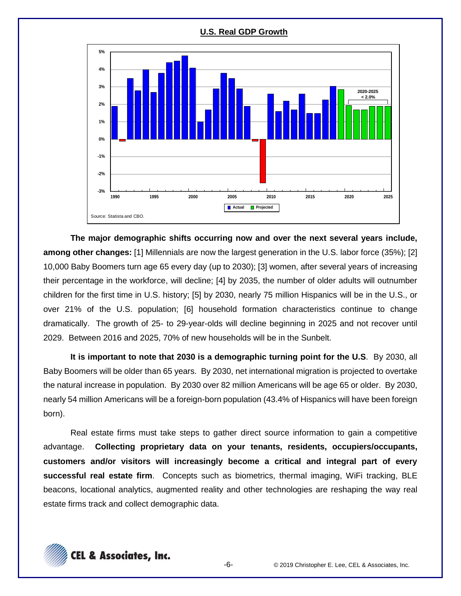

**The major demographic shifts occurring now and over the next several years include, among other changes:** [1] Millennials are now the largest generation in the U.S. labor force (35%); [2] 10,000 Baby Boomers turn age 65 every day (up to 2030); [3] women, after several years of increasing their percentage in the workforce, will decline; [4] by 2035, the number of older adults will outnumber children for the first time in U.S. history; [5] by 2030, nearly 75 million Hispanics will be in the U.S., or over 21% of the U.S. population; [6] household formation characteristics continue to change dramatically. The growth of 25- to 29-year-olds will decline beginning in 2025 and not recover until 2029. Between 2016 and 2025, 70% of new households will be in the Sunbelt.

**It is important to note that 2030 is a demographic turning point for the U.S**. By 2030, all Baby Boomers will be older than 65 years. By 2030, net international migration is projected to overtake the natural increase in population. By 2030 over 82 million Americans will be age 65 or older. By 2030, nearly 54 million Americans will be a foreign-born population (43.4% of Hispanics will have been foreign born).

Real estate firms must take steps to gather direct source information to gain a competitive advantage. **Collecting proprietary data on your tenants, residents, occupiers/occupants, customers and/or visitors will increasingly become a critical and integral part of every successful real estate firm**. Concepts such as biometrics, thermal imaging, WiFi tracking, BLE beacons, locational analytics, augmented reality and other technologies are reshaping the way real estate firms track and collect demographic data.

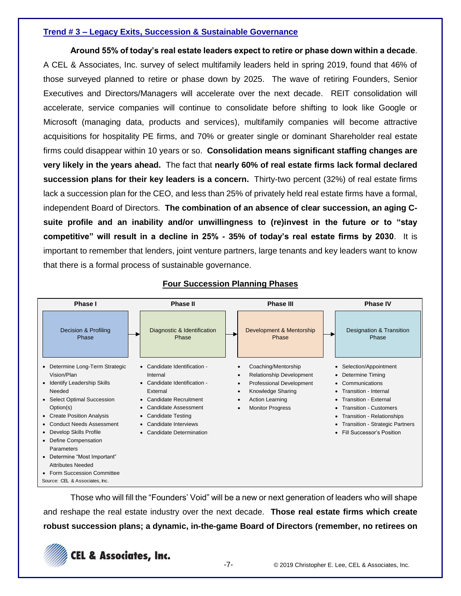### **Trend # 3 – Legacy Exits, Succession & Sustainable Governance**

**Around 55% of today's real estate leaders expect to retire or phase down within a decade**. A CEL & Associates, Inc. survey of select multifamily leaders held in spring 2019, found that 46% of those surveyed planned to retire or phase down by 2025. The wave of retiring Founders, Senior Executives and Directors/Managers will accelerate over the next decade. REIT consolidation will accelerate, service companies will continue to consolidate before shifting to look like Google or Microsoft (managing data, products and services), multifamily companies will become attractive acquisitions for hospitality PE firms, and 70% or greater single or dominant Shareholder real estate firms could disappear within 10 years or so. **Consolidation means significant staffing changes are very likely in the years ahead.** The fact that **nearly 60% of real estate firms lack formal declared succession plans for their key leaders is a concern.** Thirty-two percent (32%) of real estate firms lack a succession plan for the CEO, and less than 25% of privately held real estate firms have a formal, independent Board of Directors. **The combination of an absence of clear succession, an aging Csuite profile and an inability and/or unwillingness to (re)invest in the future or to "stay competitive" will result in a decline in 25% - 35% of today's real estate firms by 2030**. It is important to remember that lenders, joint venture partners, large tenants and key leaders want to know that there is a formal process of sustainable governance.

| Phase I                                        | <b>Phase II</b>                          | <b>Phase III</b>                                       | <b>Phase IV</b>                                    |
|------------------------------------------------|------------------------------------------|--------------------------------------------------------|----------------------------------------------------|
| Decision & Profiling<br>Phase                  | Diagnostic & Identification<br>Phase     | Development & Mentorship<br>Phase                      | Designation & Transition<br>Phase                  |
| • Determine Long-Term Strategic<br>Vision/Plan | • Candidate Identification -<br>Internal | Coaching/Mentorship<br><b>Relationship Development</b> | • Selection/Appointment<br>• Determine Timing      |
| <b>Identify Leadership Skills</b>              | • Candidate Identification -             | Professional Development                               | • Communications                                   |
| Needed<br>• Select Optimal Succession          | External<br>• Candidate Recruitment      | Knowledge Sharing<br><b>Action Learning</b>            | • Transition - Internal<br>• Transition - External |
| Option(s)                                      | • Candidate Assessment                   | <b>Monitor Progress</b>                                | • Transition - Customers                           |
| • Create Position Analysis                     | • Candidate Testing                      |                                                        | • Transition - Relationships                       |
| <b>Conduct Needs Assessment</b>                | • Candidate Interviews                   |                                                        | • Transition - Strategic Partners                  |
| • Develop Skills Profile                       | • Candidate Determination                |                                                        | • Fill Successor's Position                        |
| Define Compensation                            |                                          |                                                        |                                                    |
| Parameters                                     |                                          |                                                        |                                                    |
| • Determine "Most Important"                   |                                          |                                                        |                                                    |
| <b>Attributes Needed</b>                       |                                          |                                                        |                                                    |
| • Form Succession Committee                    |                                          |                                                        |                                                    |
| Source: CEL & Associates, Inc.                 |                                          |                                                        |                                                    |

### **Four Succession Planning Phases**

Those who will fill the "Founders' Void" will be a new or next generation of leaders who will shape and reshape the real estate industry over the next decade. **Those real estate firms which create robust succession plans; a dynamic, in-the-game Board of Directors (remember, no retirees on** 

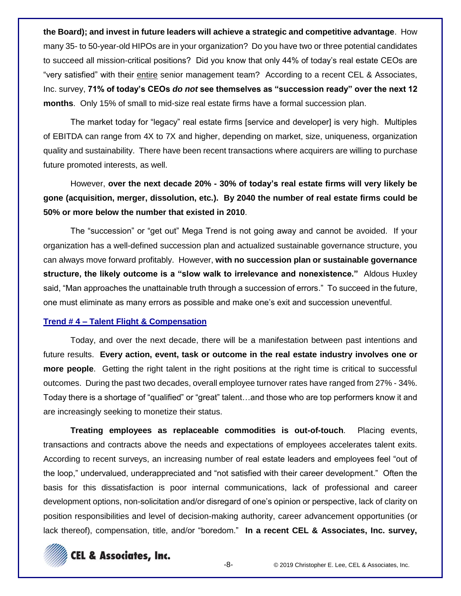**the Board); and invest in future leaders will achieve a strategic and competitive advantage**. How many 35- to 50-year-old HIPOs are in your organization? Do you have two or three potential candidates to succeed all mission-critical positions? Did you know that only 44% of today's real estate CEOs are "very satisfied" with their entire senior management team? According to a recent CEL & Associates, Inc. survey, **71% of today's CEOs** *do not* **see themselves as "succession ready" over the next 12 months**. Only 15% of small to mid-size real estate firms have a formal succession plan.

The market today for "legacy" real estate firms [service and developer] is very high. Multiples of EBITDA can range from 4X to 7X and higher, depending on market, size, uniqueness, organization quality and sustainability. There have been recent transactions where acquirers are willing to purchase future promoted interests, as well.

However, **over the next decade 20% - 30% of today's real estate firms will very likely be gone (acquisition, merger, dissolution, etc.). By 2040 the number of real estate firms could be 50% or more below the number that existed in 2010**.

The "succession" or "get out" Mega Trend is not going away and cannot be avoided. If your organization has a well-defined succession plan and actualized sustainable governance structure, you can always move forward profitably. However, **with no succession plan or sustainable governance structure, the likely outcome is a "slow walk to irrelevance and nonexistence."** Aldous Huxley said, "Man approaches the unattainable truth through a succession of errors." To succeed in the future, one must eliminate as many errors as possible and make one's exit and succession uneventful.

#### **Trend # 4 – Talent Flight & Compensation**

Today, and over the next decade, there will be a manifestation between past intentions and future results. **Every action, event, task or outcome in the real estate industry involves one or more people**. Getting the right talent in the right positions at the right time is critical to successful outcomes. During the past two decades, overall employee turnover rates have ranged from 27% - 34%. Today there is a shortage of "qualified" or "great" talent…and those who are top performers know it and are increasingly seeking to monetize their status.

**Treating employees as replaceable commodities is out-of-touch**. Placing events, transactions and contracts above the needs and expectations of employees accelerates talent exits. According to recent surveys, an increasing number of real estate leaders and employees feel "out of the loop," undervalued, underappreciated and "not satisfied with their career development." Often the basis for this dissatisfaction is poor internal communications, lack of professional and career development options, non-solicitation and/or disregard of one's opinion or perspective, lack of clarity on position responsibilities and level of decision-making authority, career advancement opportunities (or lack thereof), compensation, title, and/or "boredom." **In a recent CEL & Associates, Inc. survey,** 

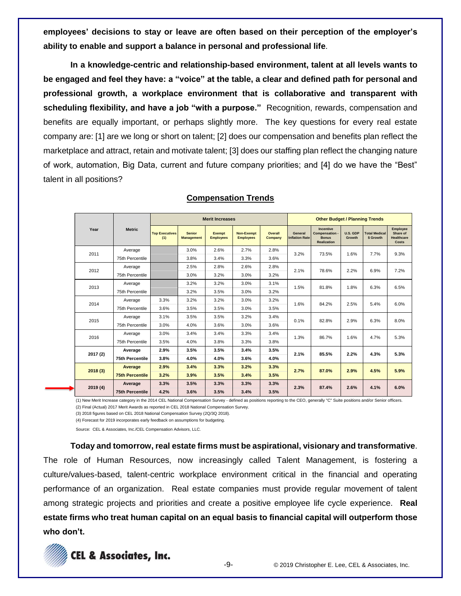**employees' decisions to stay or leave are often based on their perception of the employer's ability to enable and support a balance in personal and professional life**.

**In a knowledge-centric and relationship-based environment, talent at all levels wants to be engaged and feel they have: a "voice" at the table, a clear and defined path for personal and professional growth, a workplace environment that is collaborative and transparent with scheduling flexibility, and have a job "with a purpose."** Recognition, rewards, compensation and benefits are equally important, or perhaps slightly more. The key questions for every real estate company are: [1] are we long or short on talent; [2] does our compensation and benefits plan reflect the marketplace and attract, retain and motivate talent; [3] does our staffing plan reflect the changing nature of work, automation, Big Data, current and future company priorities; and [4] do we have the "Best" talent in all positions?

|          | <b>Metric</b>          | <b>Merit Increases</b>       |                                    |                            |                                       |                    | <b>Other Budget / Planning Trends</b> |                                                                   |                    |                                   |                                                    |
|----------|------------------------|------------------------------|------------------------------------|----------------------------|---------------------------------------|--------------------|---------------------------------------|-------------------------------------------------------------------|--------------------|-----------------------------------|----------------------------------------------------|
| Year     |                        | <b>Top Executives</b><br>(1) | <b>Senior</b><br><b>Management</b> | Exempt<br><b>Employees</b> | <b>Non-Exempt</b><br><b>Employees</b> | Overall<br>Company | General<br><b>Inflation Rate</b>      | Incentive<br>Compensation -<br><b>Bonus</b><br><b>Realization</b> | U.S. GDP<br>Growth | <b>Total Medical</b><br>\$ Growth | Employee<br>Share of<br><b>Healthcare</b><br>Costs |
| 2011     | Average                |                              | 3.0%                               | 2.6%                       | 2.7%                                  | 2.8%               | 3.2%                                  | 73.5%                                                             | 1.6%               | 7.7%                              | 9.3%                                               |
|          | 75th Percentile        |                              | 3.8%                               | 3.4%                       | 3.3%                                  | 3.6%               |                                       |                                                                   |                    |                                   |                                                    |
| 2012     | Average                |                              | 2.5%                               | 2.8%                       | 2.6%                                  | 2.8%               | 2.1%                                  | 78.6%                                                             | 2.2%               | 6.9%                              | 7.2%                                               |
|          | 75th Percentile        |                              | 3.0%                               | 3.2%                       | 3.0%                                  | 3.2%               |                                       |                                                                   |                    |                                   |                                                    |
| 2013     | Average                |                              | 3.2%                               | 3.2%                       | 3.0%                                  | 3.1%               | 1.5%                                  | 81.8%                                                             | 1.8%               | 6.3%                              | 6.5%                                               |
|          | 75th Percentile        |                              | 3.2%                               | 3.5%                       | 3.0%                                  | 3.2%               |                                       |                                                                   |                    |                                   |                                                    |
| 2014     | Average                | 3.3%                         | 3.2%                               | 3.2%                       | 3.0%                                  | 3.2%               | 1.6%                                  | 84.2%                                                             | 2.5%               | 5.4%                              | 6.0%                                               |
|          | 75th Percentile        | 3.6%                         | 3.5%                               | 3.5%                       | 3.0%                                  | 3.5%               |                                       |                                                                   |                    |                                   |                                                    |
| 2015     | Average                | 3.1%                         | 3.5%                               | 3.5%                       | 3.2%                                  | 3.4%               | 0.1%                                  | 82.8%                                                             | 2.9%               | 6.3%                              | 8.0%                                               |
|          | 75th Percentile        | 3.0%                         | 4.0%                               | 3.6%                       | 3.0%                                  | 3.6%               |                                       |                                                                   |                    |                                   |                                                    |
| 2016     | Average                | 3.0%                         | 3.4%                               | 3.4%                       | 3.3%                                  | 3.4%               | 1.3%                                  | 86.7%                                                             | 1.6%               | 4.7%                              | 5.3%                                               |
|          | 75th Percentile        | 3.5%                         | 4.0%                               | 3.8%                       | 3.3%                                  | 3.8%               |                                       |                                                                   |                    |                                   |                                                    |
| 2017 (2) | Average                | 2.9%                         | 3.5%                               | 3.5%                       | 3.4%                                  | 3.5%               | 2.1%                                  | 85.5%                                                             | 2.2%               | 4.3%                              | 5.3%                                               |
|          | <b>75th Percentile</b> | 3.8%                         | 4.0%                               | 4.0%                       | 3.6%                                  | 4.0%               |                                       |                                                                   |                    |                                   |                                                    |
| 2018(3)  | Average                | 2.9%                         | 3.4%                               | 3.3%                       | 3.2%                                  | 3.3%               | 2.7%                                  | 87.0%                                                             | 2.9%               | 4.5%                              | 5.9%                                               |
|          | <b>75th Percentile</b> | 3.2%                         | 3.9%                               | 3.5%                       | 3.4%                                  | 3.5%               |                                       |                                                                   |                    |                                   |                                                    |
| 2019(4)  | Average                | 3.3%                         | 3.5%                               | 3.3%                       | 3.3%                                  | 3.3%               | 2.3%                                  | 87.4%                                                             | 2.6%               | 4.1%                              | 6.0%                                               |
|          | <b>75th Percentile</b> | 4.2%                         | 3.6%                               | 3.5%                       | 3.4%                                  | 3.5%               |                                       |                                                                   |                    |                                   |                                                    |

### **Compensation Trends**

(1) New Merit Increase category in the 2014 CEL National Compensation Survey - defined as positions reporting to the CEO, generally "C" Suite positions and/or Senior officers. (2) Final (Actual) 2017 Merit Awards as reported in CEL 2018 National Compensation Survey.

(3) 2018 figures based on CEL 2018 National Compensation Survey (2Q/3Q 2018).

(4) Forecast for 2019 incorporates early feedback on assumptions for budgeting.

Source: CEL & Associates, Inc./CEL Compensation Advisors, LLC.

**Today and tomorrow, real estate firms must be aspirational, visionary and transformative**. The role of Human Resources, now increasingly called Talent Management, is fostering a culture/values-based, talent-centric workplace environment critical in the financial and operating performance of an organization. Real estate companies must provide regular movement of talent among strategic projects and priorities and create a positive employee life cycle experience. **Real estate firms who treat human capital on an equal basis to financial capital will outperform those who don't.**

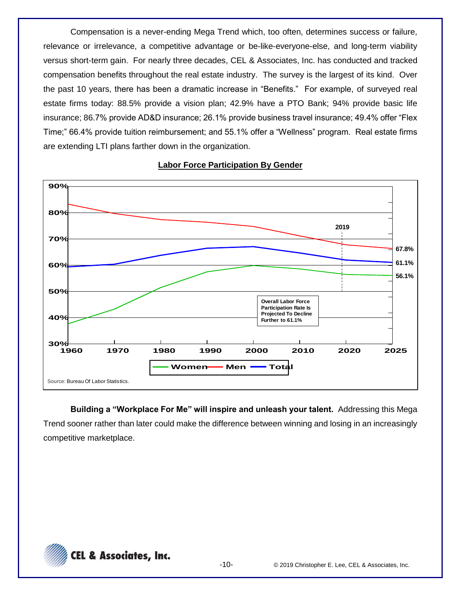Compensation is a never-ending Mega Trend which, too often, determines success or failure, relevance or irrelevance, a competitive advantage or be-like-everyone-else, and long-term viability versus short-term gain. For nearly three decades, CEL & Associates, Inc. has conducted and tracked compensation benefits throughout the real estate industry. The survey is the largest of its kind. Over the past 10 years, there has been a dramatic increase in "Benefits." For example, of surveyed real estate firms today: 88.5% provide a vision plan; 42.9% have a PTO Bank; 94% provide basic life insurance; 86.7% provide AD&D insurance; 26.1% provide business travel insurance; 49.4% offer "Flex Time;" 66.4% provide tuition reimbursement; and 55.1% offer a "Wellness" program. Real estate firms are extending LTI plans farther down in the organization.



**Labor Force Participation By Gender**

**Building a "Workplace For Me" will inspire and unleash your talent.** Addressing this Mega Trend sooner rather than later could make the difference between winning and losing in an increasingly competitive marketplace.

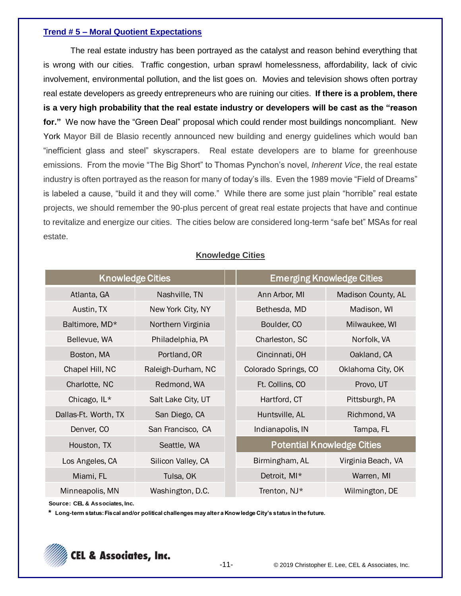### **Trend # 5 – Moral Quotient Expectations**

The real estate industry has been portrayed as the catalyst and reason behind everything that is wrong with our cities. Traffic congestion, urban sprawl homelessness, affordability, lack of civic involvement, environmental pollution, and the list goes on. Movies and television shows often portray real estate developers as greedy entrepreneurs who are ruining our cities. **If there is a problem, there is a very high probability that the real estate industry or developers will be cast as the "reason for."** We now have the "Green Deal" proposal which could render most buildings noncompliant. New York Mayor Bill de Blasio recently announced new building and energy guidelines which would ban "inefficient glass and steel" skyscrapers. Real estate developers are to blame for greenhouse emissions. From the movie "The Big Short" to Thomas Pynchon's novel, *Inherent Vice*, the real estate industry is often portrayed as the reason for many of today's ills. Even the 1989 movie "Field of Dreams" is labeled a cause, "build it and they will come." While there are some just plain "horrible" real estate projects, we should remember the 90-plus percent of great real estate projects that have and continue to revitalize and energize our cities. The cities below are considered long-term "safe bet" MSAs for real estate.

| <b>Knowledge Cities</b>    |                    |  | <b>Emerging Knowledge Cities</b>  |                    |  |  |
|----------------------------|--------------------|--|-----------------------------------|--------------------|--|--|
| Atlanta, GA                | Nashville, TN      |  | Ann Arbor, MI                     | Madison County, AL |  |  |
| Austin, TX                 | New York City, NY  |  | Bethesda, MD                      | Madison, WI        |  |  |
| Baltimore, MD*             | Northern Virginia  |  | Boulder, CO                       | Milwaukee, WI      |  |  |
| Bellevue, WA               | Philadelphia, PA   |  | Charleston, SC                    | Norfolk, VA        |  |  |
| Boston, MA<br>Portland, OR |                    |  | Cincinnati, OH                    | Oakland, CA        |  |  |
| Chapel Hill, NC            | Raleigh-Durham, NC |  | Colorado Springs, CO              | Oklahoma City, OK  |  |  |
| Charlotte, NC              | Redmond, WA        |  | Ft. Collins, CO                   | Provo, UT          |  |  |
| Chicago, IL*               | Salt Lake City, UT |  | Hartford, CT                      | Pittsburgh, PA     |  |  |
| Dallas-Ft. Worth, TX       | San Diego, CA      |  | Huntsville, AL                    | Richmond, VA       |  |  |
| Denver, CO                 | San Francisco, CA  |  | Indianapolis, IN                  | Tampa, FL          |  |  |
| Houston, TX                | Seattle, WA        |  | <b>Potential Knowledge Cities</b> |                    |  |  |
| Los Angeles, CA            | Silicon Valley, CA |  | Birmingham, AL                    | Virginia Beach, VA |  |  |
| Miami, FL                  | Tulsa, OK          |  | Detroit, MI*                      | Warren, MI         |  |  |
| Minneapolis, MN            | Washington, D.C.   |  | Trenton, NJ*                      | Wilmington, DE     |  |  |

### **Knowledge Cities**

**Source: CEL & Associates, Inc.** 

**\* Long-term status: Fiscal and/or political challenges may alter a Knowledge City's status in the future.** 

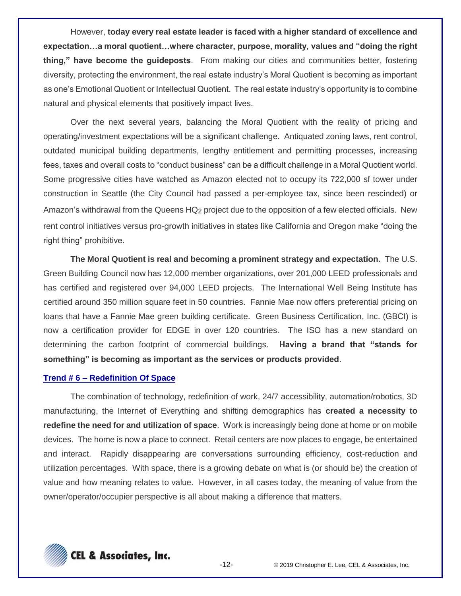However, **today every real estate leader is faced with a higher standard of excellence and expectation…a moral quotient…where character, purpose, morality, values and "doing the right thing," have become the guideposts**. From making our cities and communities better, fostering diversity, protecting the environment, the real estate industry's Moral Quotient is becoming as important as one's Emotional Quotient or Intellectual Quotient. The real estate industry's opportunity is to combine natural and physical elements that positively impact lives.

Over the next several years, balancing the Moral Quotient with the reality of pricing and operating/investment expectations will be a significant challenge. Antiquated zoning laws, rent control, outdated municipal building departments, lengthy entitlement and permitting processes, increasing fees, taxes and overall costs to "conduct business" can be a difficult challenge in a Moral Quotient world. Some progressive cities have watched as Amazon elected not to occupy its 722,000 sf tower under construction in Seattle (the City Council had passed a per-employee tax, since been rescinded) or Amazon's withdrawal from the Queens HQ2 project due to the opposition of a few elected officials. New rent control initiatives versus pro-growth initiatives in states like California and Oregon make "doing the right thing" prohibitive.

**The Moral Quotient is real and becoming a prominent strategy and expectation.** The U.S. Green Building Council now has 12,000 member organizations, over 201,000 LEED professionals and has certified and registered over 94,000 LEED projects. The International Well Being Institute has certified around 350 million square feet in 50 countries. Fannie Mae now offers preferential pricing on loans that have a Fannie Mae green building certificate. Green Business Certification, Inc. (GBCI) is now a certification provider for EDGE in over 120 countries. The ISO has a new standard on determining the carbon footprint of commercial buildings. **Having a brand that "stands for something" is becoming as important as the services or products provided**.

#### **Trend # 6 – Redefinition Of Space**

The combination of technology, redefinition of work, 24/7 accessibility, automation/robotics, 3D manufacturing, the Internet of Everything and shifting demographics has **created a necessity to redefine the need for and utilization of space**. Work is increasingly being done at home or on mobile devices. The home is now a place to connect. Retail centers are now places to engage, be entertained and interact. Rapidly disappearing are conversations surrounding efficiency, cost-reduction and utilization percentages. With space, there is a growing debate on what is (or should be) the creation of value and how meaning relates to value. However, in all cases today, the meaning of value from the owner/operator/occupier perspective is all about making a difference that matters.

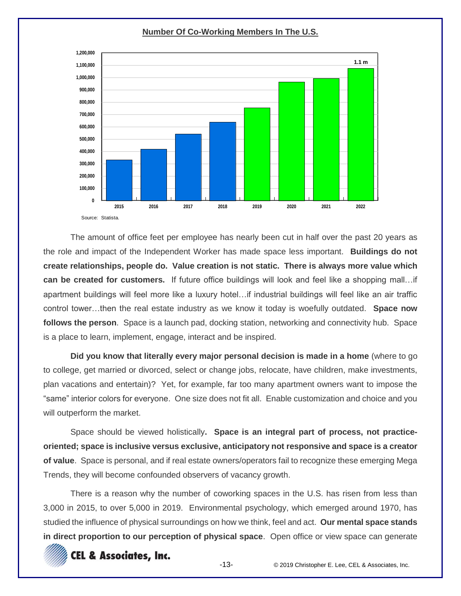**Number Of Co-Working Members In The U.S.**



The amount of office feet per employee has nearly been cut in half over the past 20 years as the role and impact of the Independent Worker has made space less important. **Buildings do not create relationships, people do. Value creation is not static. There is always more value which can be created for customers.** If future office buildings will look and feel like a shopping mall…if apartment buildings will feel more like a luxury hotel…if industrial buildings will feel like an air traffic control tower…then the real estate industry as we know it today is woefully outdated. **Space now follows the person**. Space is a launch pad, docking station, networking and connectivity hub. Space is a place to learn, implement, engage, interact and be inspired.

**Did you know that literally every major personal decision is made in a home** (where to go to college, get married or divorced, select or change jobs, relocate, have children, make investments, plan vacations and entertain)? Yet, for example, far too many apartment owners want to impose the "same" interior colors for everyone. One size does not fit all. Enable customization and choice and you will outperform the market.

Space should be viewed holistically**. Space is an integral part of process, not practiceoriented; space is inclusive versus exclusive, anticipatory not responsive and space is a creator of value**. Space is personal, and if real estate owners/operators fail to recognize these emerging Mega Trends, they will become confounded observers of vacancy growth.

There is a reason why the number of coworking spaces in the U.S. has risen from less than 3,000 in 2015, to over 5,000 in 2019. Environmental psychology, which emerged around 1970, has studied the influence of physical surroundings on how we think, feel and act. **Our mental space stands in direct proportion to our perception of physical space**. Open office or view space can generate

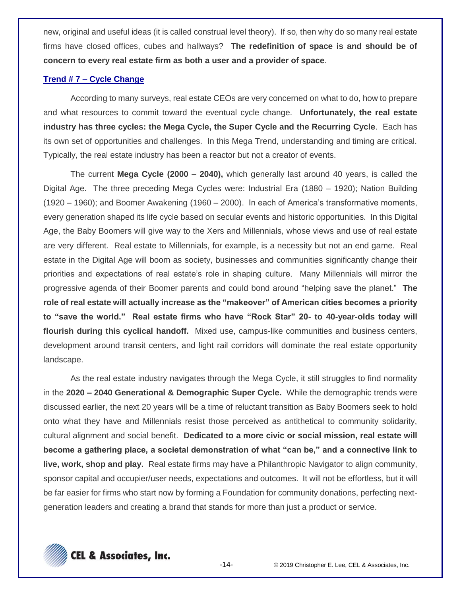new, original and useful ideas (it is called construal level theory). If so, then why do so many real estate firms have closed offices, cubes and hallways? **The redefinition of space is and should be of concern to every real estate firm as both a user and a provider of space**.

### **Trend # 7 – Cycle Change**

According to many surveys, real estate CEOs are very concerned on what to do, how to prepare and what resources to commit toward the eventual cycle change. **Unfortunately, the real estate industry has three cycles: the Mega Cycle, the Super Cycle and the Recurring Cycle**. Each has its own set of opportunities and challenges. In this Mega Trend, understanding and timing are critical. Typically, the real estate industry has been a reactor but not a creator of events.

The current **Mega Cycle (2000 – 2040),** which generally last around 40 years, is called the Digital Age. The three preceding Mega Cycles were: Industrial Era (1880 – 1920); Nation Building (1920 – 1960); and Boomer Awakening (1960 – 2000). In each of America's transformative moments, every generation shaped its life cycle based on secular events and historic opportunities. In this Digital Age, the Baby Boomers will give way to the Xers and Millennials, whose views and use of real estate are very different. Real estate to Millennials, for example, is a necessity but not an end game. Real estate in the Digital Age will boom as society, businesses and communities significantly change their priorities and expectations of real estate's role in shaping culture. Many Millennials will mirror the progressive agenda of their Boomer parents and could bond around "helping save the planet." **The role of real estate will actually increase as the "makeover" of American cities becomes a priority to "save the world." Real estate firms who have "Rock Star" 20- to 40-year-olds today will flourish during this cyclical handoff.** Mixed use, campus-like communities and business centers, development around transit centers, and light rail corridors will dominate the real estate opportunity landscape.

As the real estate industry navigates through the Mega Cycle, it still struggles to find normality in the **2020 – 2040 Generational & Demographic Super Cycle.** While the demographic trends were discussed earlier, the next 20 years will be a time of reluctant transition as Baby Boomers seek to hold onto what they have and Millennials resist those perceived as antithetical to community solidarity, cultural alignment and social benefit. **Dedicated to a more civic or social mission, real estate will become a gathering place, a societal demonstration of what "can be," and a connective link to live, work, shop and play.** Real estate firms may have a Philanthropic Navigator to align community, sponsor capital and occupier/user needs, expectations and outcomes. It will not be effortless, but it will be far easier for firms who start now by forming a Foundation for community donations, perfecting nextgeneration leaders and creating a brand that stands for more than just a product or service.

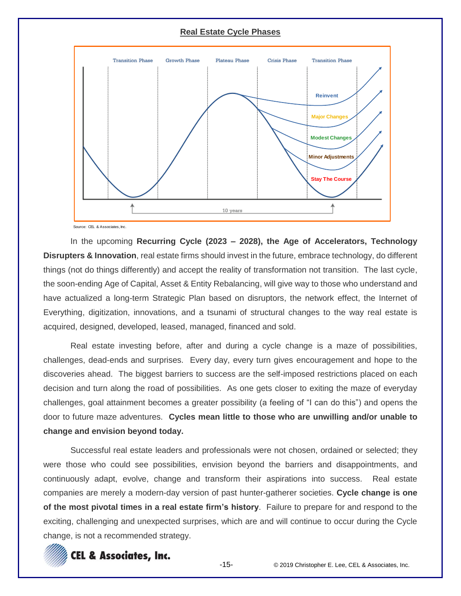### **Real Estate Cycle Phases**



Source: CEL & Associates, Inc.

In the upcoming **Recurring Cycle (2023 – 2028), the Age of Accelerators, Technology Disrupters & Innovation**, real estate firms should invest in the future, embrace technology, do different things (not do things differently) and accept the reality of transformation not transition. The last cycle, the soon-ending Age of Capital, Asset & Entity Rebalancing, will give way to those who understand and have actualized a long-term Strategic Plan based on disruptors, the network effect, the Internet of Everything, digitization, innovations, and a tsunami of structural changes to the way real estate is acquired, designed, developed, leased, managed, financed and sold.

Real estate investing before, after and during a cycle change is a maze of possibilities, challenges, dead-ends and surprises. Every day, every turn gives encouragement and hope to the discoveries ahead. The biggest barriers to success are the self-imposed restrictions placed on each decision and turn along the road of possibilities. As one gets closer to exiting the maze of everyday challenges, goal attainment becomes a greater possibility (a feeling of "I can do this") and opens the door to future maze adventures. **Cycles mean little to those who are unwilling and/or unable to change and envision beyond today.**

Successful real estate leaders and professionals were not chosen, ordained or selected; they were those who could see possibilities, envision beyond the barriers and disappointments, and continuously adapt, evolve, change and transform their aspirations into success. Real estate companies are merely a modern-day version of past hunter-gatherer societies. **Cycle change is one of the most pivotal times in a real estate firm's history**. Failure to prepare for and respond to the exciting, challenging and unexpected surprises, which are and will continue to occur during the Cycle change, is not a recommended strategy.

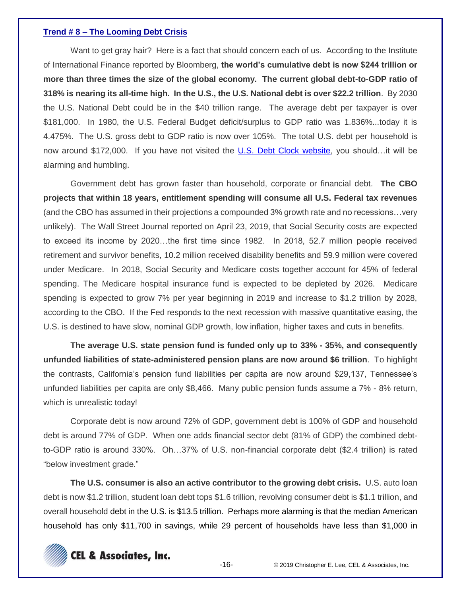#### **Trend # 8 – The Looming Debt Crisis**

Want to get gray hair? Here is a fact that should concern each of us. According to the Institute of International Finance reported by Bloomberg, **the world's cumulative debt is now \$244 trillion or more than three times the size of the global economy. The current global debt-to-GDP ratio of 318% is nearing its all-time high. In the U.S., the U.S. National debt is over \$22.2 trillion**. By 2030 the U.S. National Debt could be in the \$40 trillion range. The average debt per taxpayer is over \$181,000. In 1980, the U.S. Federal Budget deficit/surplus to GDP ratio was 1.836%...today it is 4.475%. The U.S. gross debt to GDP ratio is now over 105%. The total U.S. debt per household is now around \$172,000. If you have not visited the [U.S. Debt Clock website,](https://www.usdebtclock.org/) you should...it will be alarming and humbling.

Government debt has grown faster than household, corporate or financial debt. **The CBO projects that within 18 years, entitlement spending will consume all U.S. Federal tax revenues** (and the CBO has assumed in their projections a compounded 3% growth rate and no recessions…very unlikely). The Wall Street Journal reported on April 23, 2019, that Social Security costs are expected to exceed its income by 2020…the first time since 1982. In 2018, 52.7 million people received retirement and survivor benefits, 10.2 million received disability benefits and 59.9 million were covered under Medicare. In 2018, Social Security and Medicare costs together account for 45% of federal spending. The Medicare hospital insurance fund is expected to be depleted by 2026. Medicare spending is expected to grow 7% per year beginning in 2019 and increase to \$1.2 trillion by 2028, according to the CBO. If the Fed responds to the next recession with massive quantitative easing, the U.S. is destined to have slow, nominal GDP growth, low inflation, higher taxes and cuts in benefits.

**The average U.S. state pension fund is funded only up to 33% - 35%, and consequently unfunded liabilities of state-administered pension plans are now around \$6 trillion**. To highlight the contrasts, California's pension fund liabilities per capita are now around \$29,137, Tennessee's unfunded liabilities per capita are only \$8,466. Many public pension funds assume a 7% - 8% return, which is unrealistic today!

Corporate debt is now around 72% of GDP, government debt is 100% of GDP and household debt is around 77% of GDP. When one adds financial sector debt (81% of GDP) the combined debtto-GDP ratio is around 330%. Oh…37% of U.S. non-financial corporate debt (\$2.4 trillion) is rated "below investment grade."

**The U.S. consumer is also an active contributor to the growing debt crisis.** U.S. auto loan debt is now \$1.2 trillion, student loan debt tops \$1.6 trillion, revolving consumer debt is \$1.1 trillion, and overall household debt in the U.S. is \$13.5 trillion. Perhaps more alarming is that the median American household has only \$11,700 in savings, while 29 percent of households have less than \$1,000 in

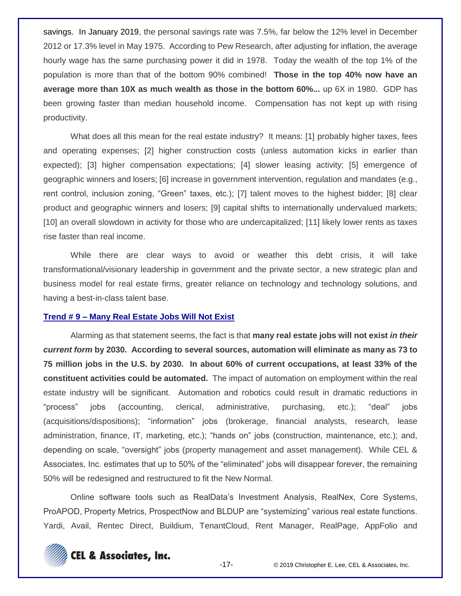savings. In January 2019, the personal savings rate was 7.5%, far below the 12% level in December 2012 or 17.3% level in May 1975. According to Pew Research, after adjusting for inflation, the average hourly wage has the same purchasing power it did in 1978. Today the wealth of the top 1% of the population is more than that of the bottom 90% combined! **Those in the top 40% now have an average more than 10X as much wealth as those in the bottom 60%...** up 6X in 1980. GDP has been growing faster than median household income. Compensation has not kept up with rising productivity.

What does all this mean for the real estate industry? It means: [1] probably higher taxes, fees and operating expenses; [2] higher construction costs (unless automation kicks in earlier than expected); [3] higher compensation expectations; [4] slower leasing activity; [5] emergence of geographic winners and losers; [6] increase in government intervention, regulation and mandates (e.g., rent control, inclusion zoning, "Green" taxes, etc.); [7] talent moves to the highest bidder; [8] clear product and geographic winners and losers; [9] capital shifts to internationally undervalued markets; [10] an overall slowdown in activity for those who are undercapitalized; [11] likely lower rents as taxes rise faster than real income.

While there are clear ways to avoid or weather this debt crisis, it will take transformational/visionary leadership in government and the private sector, a new strategic plan and business model for real estate firms, greater reliance on technology and technology solutions, and having a best-in-class talent base.

#### **Trend # 9 – Many Real Estate Jobs Will Not Exist**

Alarming as that statement seems, the fact is that **many real estate jobs will not exist** *in their current form* **by 2030. According to several sources, automation will eliminate as many as 73 to 75 million jobs in the U.S. by 2030. In about 60% of current occupations, at least 33% of the constituent activities could be automated.** The impact of automation on employment within the real estate industry will be significant. Automation and robotics could result in dramatic reductions in "process" jobs (accounting, clerical, administrative, purchasing, etc.); "deal" jobs (acquisitions/dispositions); "information" jobs (brokerage, financial analysts, research, lease administration, finance, IT, marketing, etc.); "hands on" jobs (construction, maintenance, etc.); and, depending on scale, "oversight" jobs (property management and asset management). While CEL & Associates, Inc. estimates that up to 50% of the "eliminated" jobs will disappear forever, the remaining 50% will be redesigned and restructured to fit the New Normal.

Online software tools such as RealData's Investment Analysis, RealNex, Core Systems, ProAPOD, Property Metrics, ProspectNow and BLDUP are "systemizing" various real estate functions. Yardi, Avail, Rentec Direct, Buildium, TenantCloud, Rent Manager, RealPage, AppFolio and

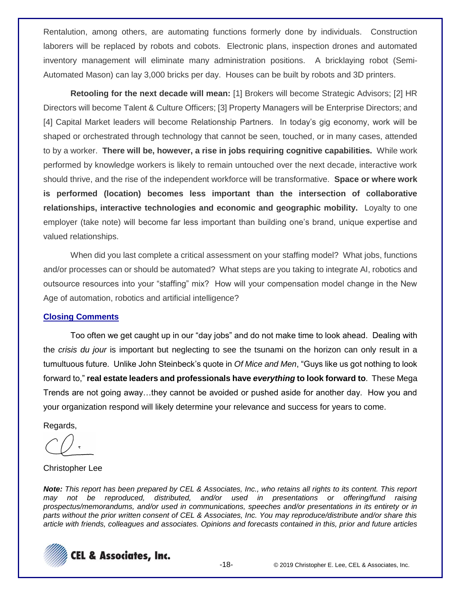Rentalution, among others, are automating functions formerly done by individuals. Construction laborers will be replaced by robots and cobots. Electronic plans, inspection drones and automated inventory management will eliminate many administration positions. A bricklaying robot (Semi-Automated Mason) can lay 3,000 bricks per day. Houses can be built by robots and 3D printers.

**Retooling for the next decade will mean:** [1] Brokers will become Strategic Advisors; [2] HR Directors will become Talent & Culture Officers; [3] Property Managers will be Enterprise Directors; and [4] Capital Market leaders will become Relationship Partners. In today's gig economy, work will be shaped or orchestrated through technology that cannot be seen, touched, or in many cases, attended to by a worker. **There will be, however, a rise in jobs requiring cognitive capabilities.** While work performed by knowledge workers is likely to remain untouched over the next decade, interactive work should thrive, and the rise of the independent workforce will be transformative. **Space or where work is performed (location) becomes less important than the intersection of collaborative relationships, interactive technologies and economic and geographic mobility.** Loyalty to one employer (take note) will become far less important than building one's brand, unique expertise and valued relationships.

When did you last complete a critical assessment on your staffing model? What jobs, functions and/or processes can or should be automated? What steps are you taking to integrate AI, robotics and outsource resources into your "staffing" mix? How will your compensation model change in the New Age of automation, robotics and artificial intelligence?

### **Closing Comments**

Too often we get caught up in our "day jobs" and do not make time to look ahead. Dealing with the *crisis du jour* is important but neglecting to see the tsunami on the horizon can only result in a tumultuous future. Unlike John Steinbeck's quote in *Of Mice and Men*, "Guys like us got nothing to look forward to," **real estate leaders and professionals have** *everything* **to look forward to**. These Mega Trends are not going away…they cannot be avoided or pushed aside for another day. How you and your organization respond will likely determine your relevance and success for years to come.

Regards,

#### Christopher Lee

*Note: This report has been prepared by CEL & Associates, Inc., who retains all rights to its content. This report may not be reproduced, distributed, and/or used in presentations or offering/fund raising prospectus/memorandums, and/or used in communications, speeches and/or presentations in its entirety or in parts without the prior written consent of CEL & Associates, Inc. You may reproduce/distribute and/or share this article with friends, colleagues and associates. Opinions and forecasts contained in this, prior and future articles* 

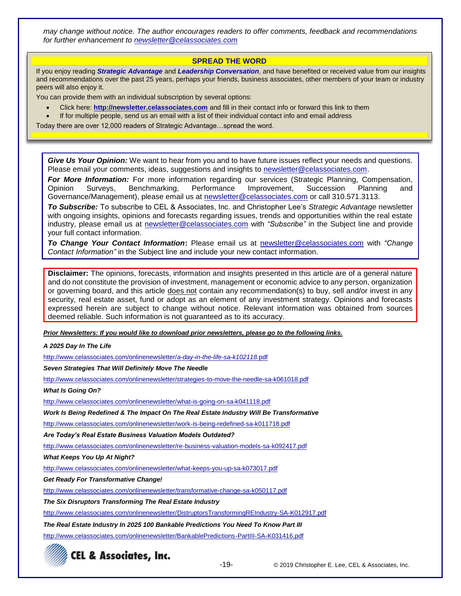*may change without notice. The author encourages readers to offer comments, feedback and recommendations for further enhancement to [newsletter@celassociates.com](mailto:newsletter@celassociates.com)*

#### **SPREAD THE WORD**

If you enjoy reading *Strategic Advantage* and *Leadership Conversation*, and have benefited or received value from our insights and recommendations over the past 25 years, perhaps your friends, business associates, other members of your team or industry peers will also enjoy it.

You can provide them with an individual subscription by several options:

- Click here: **http://newsletter.celassociates.com** and fill in their contact info or forward this link to them
- If for multiple people, send us an email with a list of their individual contact info and email address

Today there are over 12,000 readers of Strategic Advantage…spread the word.

*Give Us Your Opinion:* We want to hear from you and to have future issues reflect your needs and questions. Please email your comments, ideas, suggestions and insights to newsletter@celassociates.com.

*For More Information:* For more information regarding our services (Strategic Planning, Compensation, Opinion Surveys, Benchmarking, Performance Improvement, Succession Planning and Governance/Management), please email us at newsletter@celassociates.com or call 310.571.3113.

*To Subscribe:* To subscribe to CEL & Associates, Inc. and Christopher Lee's *Strategic Advantage* newsletter with ongoing insights, opinions and forecasts regarding issues, trends and opportunities within the real estate industry, please email us at newsletter@celassociates.com with *"Subscribe"* in the Subject line and provide your full contact information.

*To Change Your Contact Information***:** Please email us at newsletter@celassociates.com with *"Change Contact Information"* in the Subject line and include your new contact information.

**Disclaimer:** The opinions, forecasts, information and insights presented in this article are of a general nature and do not constitute the provision of investment, management or economic advice to any person, organization or governing board, and this article does not contain any recommendation(s) to buy, sell and/or invest in any security, real estate asset, fund or adopt as an element of any investment strategy. Opinions and forecasts expressed herein are subject to change without notice. Relevant information was obtained from sources deemed reliable. Such information is not guaranteed as to its accuracy.

*Prior Newsletters: If you would like to download prior newsletters, please go to the following links.*

*A 2025 Day In The Life*

[http://www.celassociates.com/onlinenewsletter/](http://www.celassociates.com/onlinenewsletter/a-day-in-the-life-sa-k102118.pdf)*a-day-in-the-life-sa-k102118.*pdf

*Seven Strategies That Will Definitely Move The Needle* 

<http://www.celassociates.com/onlinenewsletter/strategies-to-move-the-needle-sa-k061018.pdf>

*What Is Going On?*

[http://www.celassociates.com/onlinenewsletter/what-is-going-on-sa-k041118.pdf](http://www.celassociates.com/onlinenewsletter/work-is-being-redefined-sa-k011718.pdf.pdf)

*Work Is Being Redefined & The Impact On The Real Estate Industry Will Be Transformative*

[http://www.celassociates.com/onlinenewsletter/work-is-being-redefined-sa-k011718.pdf](http://www.celassociates.com/onlinenewsletter/work-is-being-redefined-sa-k011718.pdf.pdf)

*Are Today's Real Estate Business Valuation Models Outdated?*

<http://www.celassociates.com/onlinenewsletter/re-business-valuation-models-sa-k092417.pdf>

*What Keeps You Up At Night?*

<http://www.celassociates.com/onlinenewsletter/what-keeps-you-up-sa-k073017.pdf>

*Get Ready For Transformative Change!*

<http://www.celassociates.com/onlinenewsletter/transformative-change-sa-k050117.pdf>

*The Six Disruptors Transforming The Real Estate Industry*

http://www.celassociates.com/onlinenewsletter/DistruptorsTransformingREIndustry-SA-K012917.pdf

*The Real Estate Industry In 2025 100 Bankable Predictions You Need To Know Part III*

http://www.celassociates.com/onlinenewsletter/BankablePredictions-PartIII-SA-K031416.pdf



-19- © 2019 Christopher E. Lee, CEL & Associates, Inc.